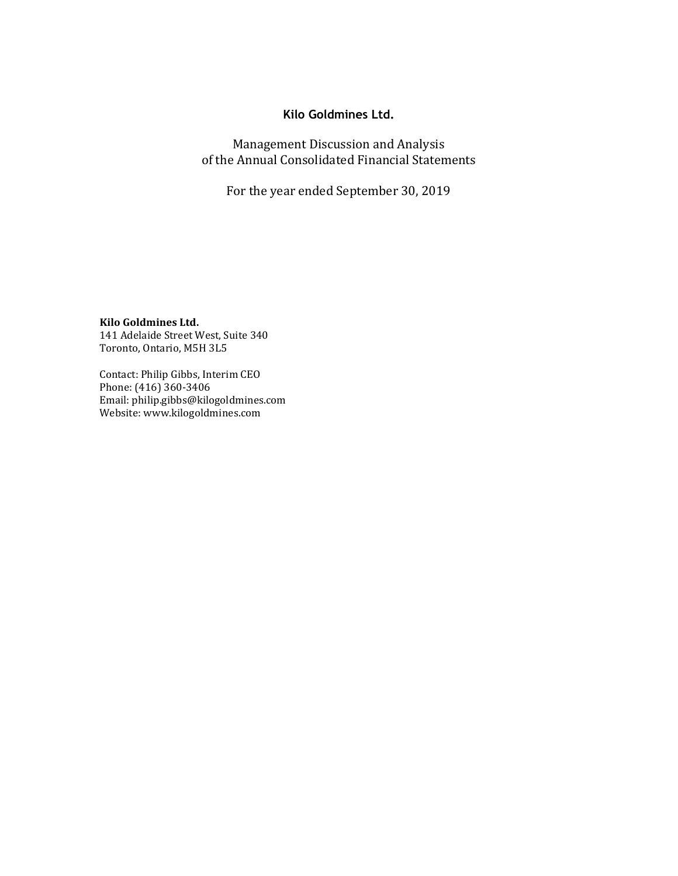# **Kilo Goldmines Ltd.**

Management Discussion and Analysis of the Annual Consolidated Financial Statements

For the year ended September 30, 2019

**Kilo Goldmines Ltd.** 141 Adelaide Street West, Suite 340 Toronto, Ontario, M5H 3L5

Contact: Philip Gibbs, Interim CEO Phone: (416) 360-3406 Email: philip.gibbs@kilogoldmines.com Website: www.kilogoldmines.com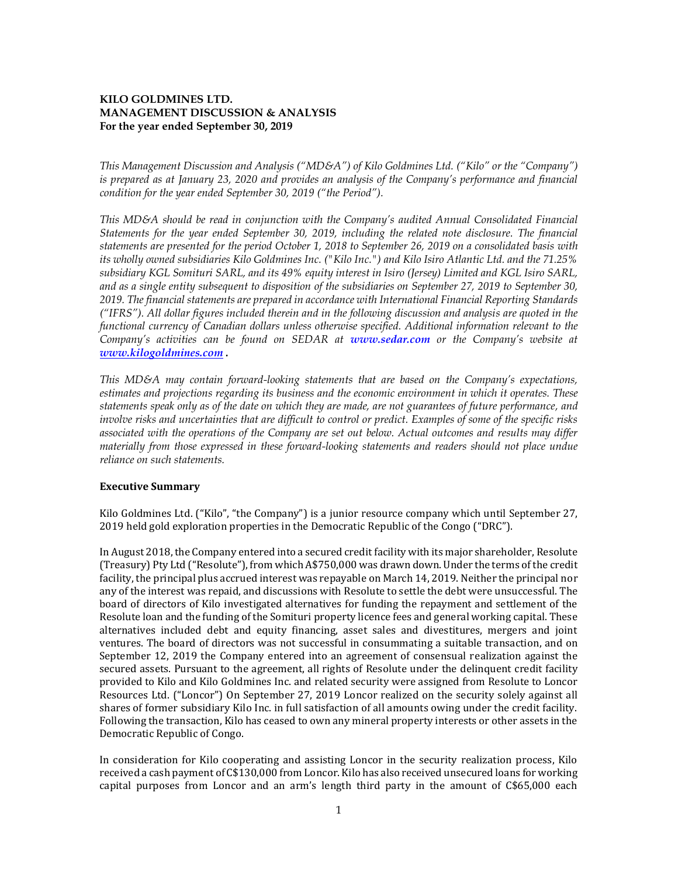## **KILO GOLDMINES LTD. MANAGEMENT DISCUSSION & ANALYSIS For the year ended September 30, 2019**

*This Management Discussion and Analysis ("MD&A") of Kilo Goldmines Ltd. ("Kilo" or the "Company") is prepared as at January 23, 2020 and provides an analysis of the Company's performance and financial condition for the year ended September 30, 2019 ("the Period").* 

*This MD&A should be read in conjunction with the Company's audited Annual Consolidated Financial Statements for the year ended September 30, 2019, including the related note disclosure. The financial statements are presented for the period October 1, 2018 to September 26, 2019 on a consolidated basis with its wholly owned subsidiaries Kilo Goldmines Inc. ("Kilo Inc.") and Kilo Isiro Atlantic Ltd. and the 71.25% subsidiary KGL Somituri SARL, and its 49% equity interest in Isiro (Jersey) Limited and KGL Isiro SARL, and as a single entity subsequent to disposition of the subsidiaries on September 27, 2019 to September 30, 2019. The financial statements are prepared in accordance with International Financial Reporting Standards ("IFRS"). All dollar figures included therein and in the following discussion and analysis are quoted in the functional currency of Canadian dollars unless otherwise specified. Additional information relevant to the Company's activities can be found on SEDAR at www.sedar.com or the Company's website at [www.kilogoldmines.com](http://www.kilogoldmines.com/) .*

*This MD&A may contain forward-looking statements that are based on the Company's expectations, estimates and projections regarding its business and the economic environment in which it operates. These statements speak only as of the date on which they are made, are not guarantees of future performance, and involve risks and uncertainties that are difficult to control or predict. Examples of some of the specific risks associated with the operations of the Company are set out below. Actual outcomes and results may differ materially from those expressed in these forward-looking statements and readers should not place undue reliance on such statements.*

### **Executive Summary**

Kilo Goldmines Ltd. ("Kilo", "the Company") is a junior resource company which until September 27, 2019 held gold exploration properties in the Democratic Republic of the Congo ("DRC").

In August 2018, the Company entered into a secured credit facility with its major shareholder, Resolute (Treasury) Pty Ltd ("Resolute"), from which A\$750,000 was drawn down. Under the terms of the credit facility, the principal plus accrued interest was repayable on March 14, 2019. Neither the principal nor any of the interest was repaid, and discussions with Resolute to settle the debt were unsuccessful. The board of directors of Kilo investigated alternatives for funding the repayment and settlement of the Resolute loan and the funding of the Somituri property licence fees and general working capital. These alternatives included debt and equity financing, asset sales and divestitures, mergers and joint ventures. The board of directors was not successful in consummating a suitable transaction, and on September 12, 2019 the Company entered into an agreement of consensual realization against the secured assets. Pursuant to the agreement, all rights of Resolute under the delinquent credit facility provided to Kilo and Kilo Goldmines Inc. and related security were assigned from Resolute to Loncor Resources Ltd. ("Loncor") On September 27, 2019 Loncor realized on the security solely against all shares of former subsidiary Kilo Inc. in full satisfaction of all amounts owing under the credit facility. Following the transaction, Kilo has ceased to own any mineral property interests or other assets in the Democratic Republic of Congo.

In consideration for Kilo cooperating and assisting Loncor in the security realization process, Kilo received a cash payment of C\$130,000 from Loncor. Kilo has also received unsecured loans for working capital purposes from Loncor and an arm's length third party in the amount of C\$65,000 each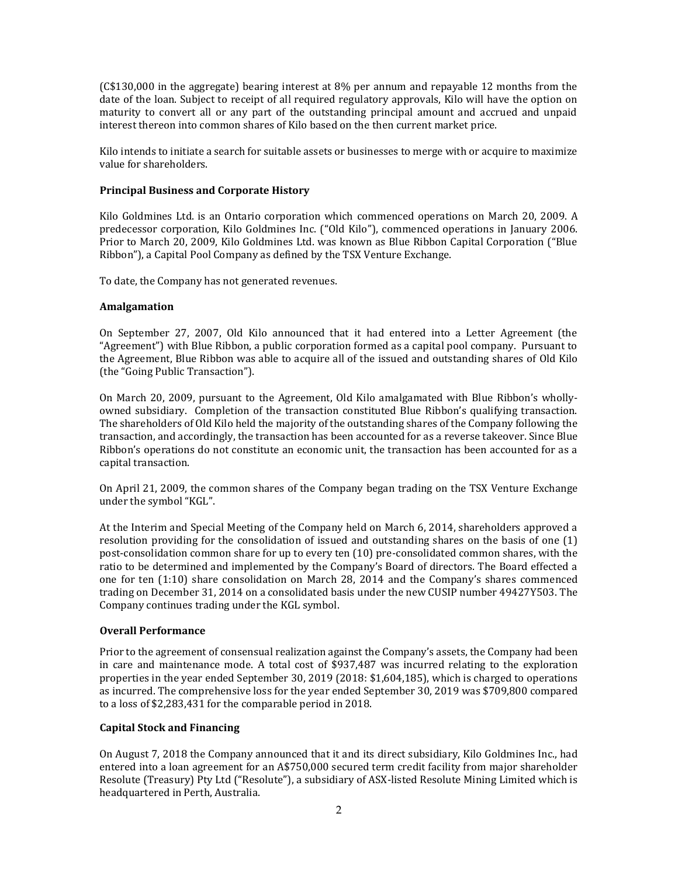(C\$130,000 in the aggregate) bearing interest at 8% per annum and repayable 12 months from the date of the loan. Subject to receipt of all required regulatory approvals, Kilo will have the option on maturity to convert all or any part of the outstanding principal amount and accrued and unpaid interest thereon into common shares of Kilo based on the then current market price.

Kilo intends to initiate a search for suitable assets or businesses to merge with or acquire to maximize value for shareholders.

### **Principal Business and Corporate History**

Kilo Goldmines Ltd. is an Ontario corporation which commenced operations on March 20, 2009. A predecessor corporation, Kilo Goldmines Inc. ("Old Kilo"), commenced operations in January 2006. Prior to March 20, 2009, Kilo Goldmines Ltd. was known as Blue Ribbon Capital Corporation ("Blue Ribbon"), a Capital Pool Company as defined by the TSX Venture Exchange.

To date, the Company has not generated revenues.

### **Amalgamation**

On September 27, 2007, Old Kilo announced that it had entered into a Letter Agreement (the "Agreement") with Blue Ribbon, a public corporation formed as a capital pool company. Pursuant to the Agreement, Blue Ribbon was able to acquire all of the issued and outstanding shares of Old Kilo (the "Going Public Transaction").

On March 20, 2009, pursuant to the Agreement, Old Kilo amalgamated with Blue Ribbon's whollyowned subsidiary. Completion of the transaction constituted Blue Ribbon's qualifying transaction. The shareholders of Old Kilo held the majority of the outstanding shares of the Company following the transaction, and accordingly, the transaction has been accounted for as a reverse takeover. Since Blue Ribbon's operations do not constitute an economic unit, the transaction has been accounted for as a capital transaction.

On April 21, 2009, the common shares of the Company began trading on the TSX Venture Exchange under the symbol "KGL".

At the Interim and Special Meeting of the Company held on March 6, 2014, shareholders approved a resolution providing for the consolidation of issued and outstanding shares on the basis of one (1) post-consolidation common share for up to every ten (10) pre-consolidated common shares, with the ratio to be determined and implemented by the Company's Board of directors. The Board effected a one for ten (1:10) share consolidation on March 28, 2014 and the Company's shares commenced trading on December 31, 2014 on a consolidated basis under the new CUSIP number 49427Y503. The Company continues trading under the KGL symbol.

#### **Overall Performance**

Prior to the agreement of consensual realization against the Company's assets, the Company had been in care and maintenance mode. A total cost of \$937,487 was incurred relating to the exploration properties in the year ended September 30, 2019 (2018: \$1,604,185), which is charged to operations as incurred. The comprehensive loss for the year ended September 30, 2019 was \$709,800 compared to a loss of \$2,283,431 for the comparable period in 2018.

### **Capital Stock and Financing**

On August 7, 2018 the Company announced that it and its direct subsidiary, Kilo Goldmines Inc., had entered into a loan agreement for an A\$750,000 secured term credit facility from major shareholder Resolute (Treasury) Pty Ltd ("Resolute"), a subsidiary of ASX-listed Resolute Mining Limited which is headquartered in Perth, Australia.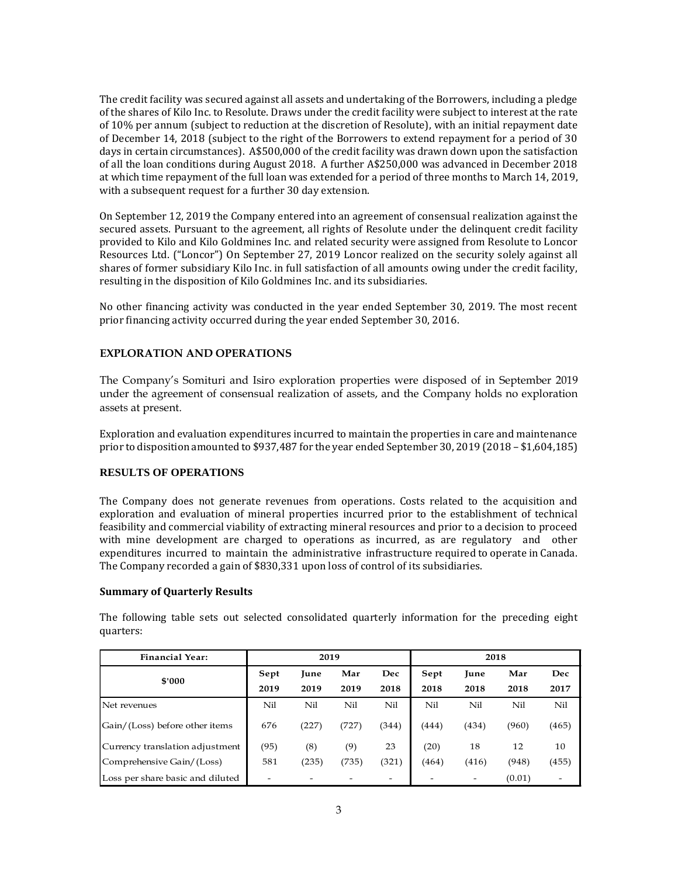The credit facility was secured against all assets and undertaking of the Borrowers, including a pledge of the shares of Kilo Inc. to Resolute. Draws under the credit facility were subject to interest at the rate of 10% per annum (subject to reduction at the discretion of Resolute), with an initial repayment date of December 14, 2018 (subject to the right of the Borrowers to extend repayment for a period of 30 days in certain circumstances). A\$500,000 of the credit facility was drawn down upon the satisfaction of all the loan conditions during August 2018. A further A\$250,000 was advanced in December 2018 at which time repayment of the full loan was extended for a period of three months to March 14, 2019, with a subsequent request for a further 30 day extension.

On September 12, 2019 the Company entered into an agreement of consensual realization against the secured assets. Pursuant to the agreement, all rights of Resolute under the delinquent credit facility provided to Kilo and Kilo Goldmines Inc. and related security were assigned from Resolute to Loncor Resources Ltd. ("Loncor") On September 27, 2019 Loncor realized on the security solely against all shares of former subsidiary Kilo Inc. in full satisfaction of all amounts owing under the credit facility, resulting in the disposition of Kilo Goldmines Inc. and its subsidiaries.

No other financing activity was conducted in the year ended September 30, 2019. The most recent prior financing activity occurred during the year ended September 30, 2016.

### **EXPLORATION AND OPERATIONS**

The Company's Somituri and Isiro exploration properties were disposed of in September 2019 under the agreement of consensual realization of assets, and the Company holds no exploration assets at present.

Exploration and evaluation expenditures incurred to maintain the properties in care and maintenance prior to disposition amounted to \$937,487 for the year ended September 30, 2019 (2018 – \$1,604,185)

#### **RESULTS OF OPERATIONS**

The Company does not generate revenues from operations. Costs related to the acquisition and exploration and evaluation of mineral properties incurred prior to the establishment of technical feasibility and commercial viability of extracting mineral resources and prior to a decision to proceed with mine development are charged to operations as incurred, as are regulatory and other expenditures incurred to maintain the administrative infrastructure required to operate in Canada. The Company recorded a gain of \$830,331 upon loss of control of its subsidiaries.

#### **Summary of Quarterly Results**

The following table sets out selected consolidated quarterly information for the preceding eight quarters:

| <b>Financial Year:</b>           | 2019 |             |       | 2018  |       |       |        |       |
|----------------------------------|------|-------------|-------|-------|-------|-------|--------|-------|
| \$'000                           | Sept | <b>June</b> | Mar   | Dec   | Sept  | June  | Mar    | Dec   |
|                                  | 2019 | 2019        | 2019  | 2018  | 2018  | 2018  | 2018   | 2017  |
| Net revenues                     | Nil  | Nil         | Nil   | Nil   | Nil   | Nil   | Nil    | Nil   |
| Gain/(Loss) before other items   | 676  | (227)       | 727`  | (344) | (444) | (434) | (960)  | (465) |
| Currency translation adjustment  | (95) | (8)         | (9)   | 23    | (20)  | 18    | 12     | 10    |
| Comprehensive Gain/(Loss)        | 581  | (235)       | (735) | (321) | (464) | (416) | (948)  | (455) |
| Loss per share basic and diluted |      |             |       |       |       |       | (0.01) |       |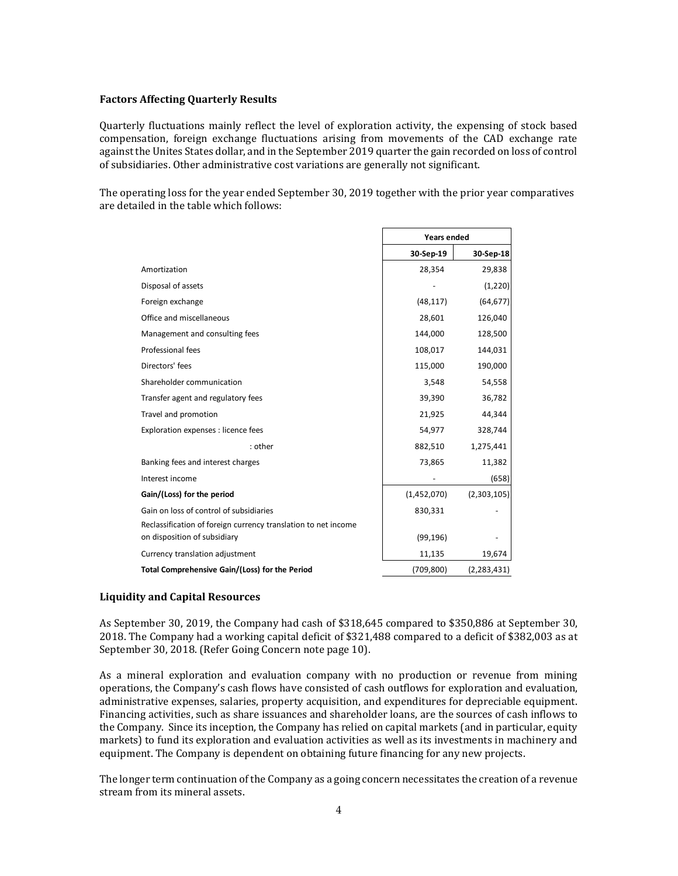#### **Factors Affecting Quarterly Results**

Quarterly fluctuations mainly reflect the level of exploration activity, the expensing of stock based compensation, foreign exchange fluctuations arising from movements of the CAD exchange rate against the Unites States dollar, and in the September 2019 quarter the gain recorded on loss of control of subsidiaries. Other administrative cost variations are generally not significant.

The operating loss for the year ended September 30, 2019 together with the prior year comparatives are detailed in the table which follows:

|                                                                                                | Years ended |               |  |
|------------------------------------------------------------------------------------------------|-------------|---------------|--|
|                                                                                                | 30-Sep-19   | 30-Sep-18     |  |
| Amortization                                                                                   | 28,354      | 29,838        |  |
| Disposal of assets                                                                             |             | (1,220)       |  |
| Foreign exchange                                                                               | (48, 117)   | (64, 677)     |  |
| Office and miscellaneous                                                                       | 28,601      | 126,040       |  |
| Management and consulting fees                                                                 | 144,000     | 128,500       |  |
| Professional fees                                                                              | 108,017     | 144,031       |  |
| Directors' fees                                                                                | 115,000     | 190,000       |  |
| Shareholder communication                                                                      | 3,548       | 54,558        |  |
| Transfer agent and regulatory fees                                                             | 39,390      | 36,782        |  |
| Travel and promotion                                                                           | 21,925      | 44,344        |  |
| Exploration expenses : licence fees                                                            | 54,977      | 328,744       |  |
| : other                                                                                        | 882,510     | 1,275,441     |  |
| Banking fees and interest charges                                                              | 73,865      | 11,382        |  |
| Interest income                                                                                |             | (658)         |  |
| Gain/(Loss) for the period                                                                     | (1,452,070) | (2,303,105)   |  |
| Gain on loss of control of subsidiaries                                                        | 830,331     |               |  |
| Reclassification of foreign currency translation to net income<br>on disposition of subsidiary | (99, 196)   |               |  |
| Currency translation adjustment                                                                | 11,135      | 19,674        |  |
| Total Comprehensive Gain/(Loss) for the Period                                                 | (709, 800)  | (2, 283, 431) |  |

#### **Liquidity and Capital Resources**

As September 30, 2019, the Company had cash of \$318,645 compared to \$350,886 at September 30, 2018. The Company had a working capital deficit of \$321,488 compared to a deficit of \$382,003 as at September 30, 2018. (Refer Going Concern note page 10).

As a mineral exploration and evaluation company with no production or revenue from mining operations, the Company's cash flows have consisted of cash outflows for exploration and evaluation, administrative expenses, salaries, property acquisition, and expenditures for depreciable equipment. Financing activities, such as share issuances and shareholder loans, are the sources of cash inflows to the Company. Since its inception, the Company has relied on capital markets (and in particular, equity markets) to fund its exploration and evaluation activities as well as its investments in machinery and equipment. The Company is dependent on obtaining future financing for any new projects.

The longer term continuation of the Company as a going concern necessitates the creation of a revenue stream from its mineral assets.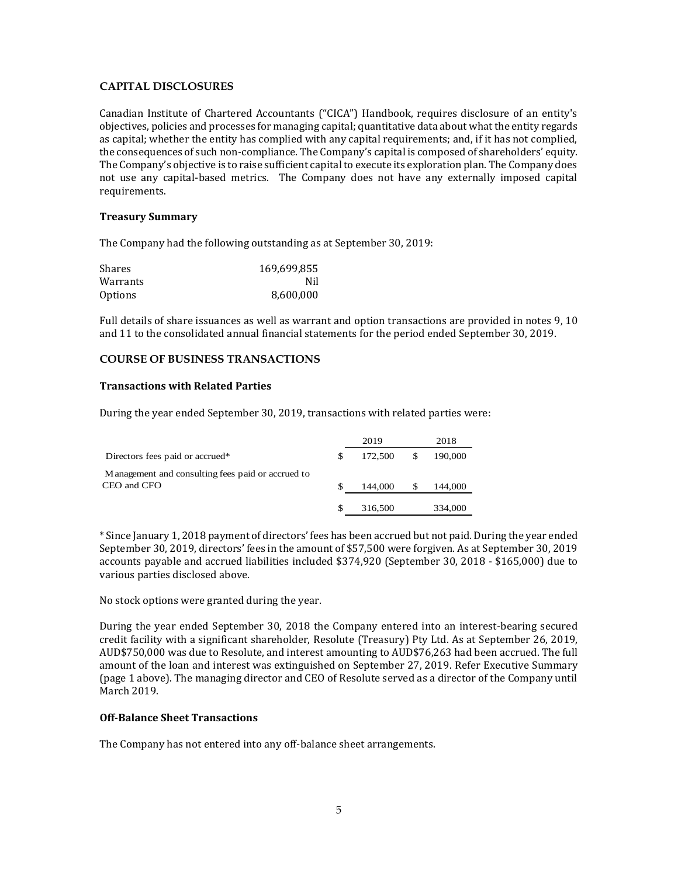## **CAPITAL DISCLOSURES**

Canadian Institute of Chartered Accountants ("CICA") Handbook, requires disclosure of an entity's objectives, policies and processes for managing capital; quantitative data about what the entity regards as capital; whether the entity has complied with any capital requirements; and, if it has not complied, the consequences of such non-compliance. The Company's capital is composed of shareholders' equity. The Company's objective is to raise sufficient capital to execute its exploration plan. The Company does not use any capital-based metrics. The Company does not have any externally imposed capital requirements.

### **Treasury Summary**

The Company had the following outstanding as at September 30, 2019:

| Shares   | 169,699,855 |
|----------|-------------|
| Warrants | Nil         |
| Options  | 8,600,000   |

Full details of share issuances as well as warrant and option transactions are provided in notes 9, 10 and 11 to the consolidated annual financial statements for the period ended September 30, 2019.

### **COURSE OF BUSINESS TRANSACTIONS**

### **Transactions with Related Parties**

During the year ended September 30, 2019, transactions with related parties were:

|                                                    |   | 2019    | 2018    |
|----------------------------------------------------|---|---------|---------|
| Directors fees paid or accrued*                    | S | 172,500 | 190,000 |
| M anagement and consulting fees paid or accrued to |   |         |         |
| CEO and CFO                                        |   | 144,000 | 144,000 |
|                                                    |   | 316,500 | 334,000 |

\* Since January 1, 2018 payment of directors' fees has been accrued but not paid. During the year ended September 30, 2019, directors' fees in the amount of \$57,500 were forgiven. As at September 30, 2019 accounts payable and accrued liabilities included \$374,920 (September 30, 2018 - \$165,000) due to various parties disclosed above.

No stock options were granted during the year.

During the year ended September 30, 2018 the Company entered into an interest-bearing secured credit facility with a significant shareholder, Resolute (Treasury) Pty Ltd. As at September 26, 2019, AUD\$750,000 was due to Resolute, and interest amounting to AUD\$76,263 had been accrued. The full amount of the loan and interest was extinguished on September 27, 2019. Refer Executive Summary (page 1 above). The managing director and CEO of Resolute served as a director of the Company until March 2019.

### **Off-Balance Sheet Transactions**

The Company has not entered into any off-balance sheet arrangements.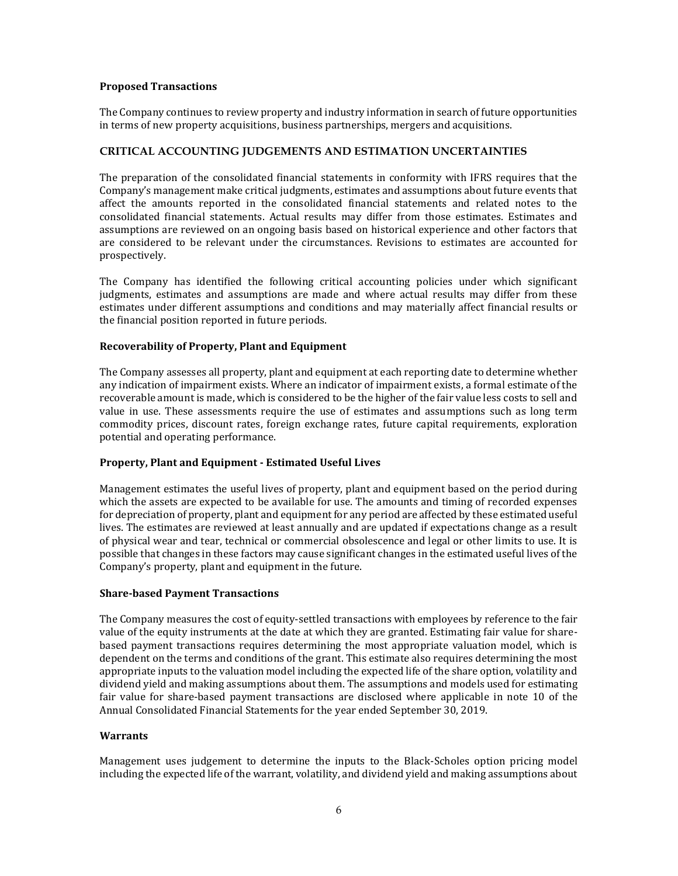### **Proposed Transactions**

The Company continues to review property and industry information in search of future opportunities in terms of new property acquisitions, business partnerships, mergers and acquisitions.

### **CRITICAL ACCOUNTING JUDGEMENTS AND ESTIMATION UNCERTAINTIES**

The preparation of the consolidated financial statements in conformity with IFRS requires that the Company's management make critical judgments, estimates and assumptions about future events that affect the amounts reported in the consolidated financial statements and related notes to the consolidated financial statements. Actual results may differ from those estimates. Estimates and assumptions are reviewed on an ongoing basis based on historical experience and other factors that are considered to be relevant under the circumstances. Revisions to estimates are accounted for prospectively.

The Company has identified the following critical accounting policies under which significant judgments, estimates and assumptions are made and where actual results may differ from these estimates under different assumptions and conditions and may materially affect financial results or the financial position reported in future periods.

## **Recoverability of Property, Plant and Equipment**

The Company assesses all property, plant and equipment at each reporting date to determine whether any indication of impairment exists. Where an indicator of impairment exists, a formal estimate of the recoverable amount is made, which is considered to be the higher of the fair value less costs to sell and value in use. These assessments require the use of estimates and assumptions such as long term commodity prices, discount rates, foreign exchange rates, future capital requirements, exploration potential and operating performance.

### **Property, Plant and Equipment - Estimated Useful Lives**

Management estimates the useful lives of property, plant and equipment based on the period during which the assets are expected to be available for use. The amounts and timing of recorded expenses for depreciation of property, plant and equipment for any period are affected by these estimated useful lives. The estimates are reviewed at least annually and are updated if expectations change as a result of physical wear and tear, technical or commercial obsolescence and legal or other limits to use. It is possible that changes in these factors may cause significant changes in the estimated useful lives of the Company's property, plant and equipment in the future.

#### **Share-based Payment Transactions**

The Company measures the cost of equity-settled transactions with employees by reference to the fair value of the equity instruments at the date at which they are granted. Estimating fair value for sharebased payment transactions requires determining the most appropriate valuation model, which is dependent on the terms and conditions of the grant. This estimate also requires determining the most appropriate inputs to the valuation model including the expected life of the share option, volatility and dividend yield and making assumptions about them. The assumptions and models used for estimating fair value for share-based payment transactions are disclosed where applicable in note 10 of the Annual Consolidated Financial Statements for the year ended September 30, 2019.

#### **Warrants**

Management uses judgement to determine the inputs to the Black-Scholes option pricing model including the expected life of the warrant, volatility, and dividend yield and making assumptions about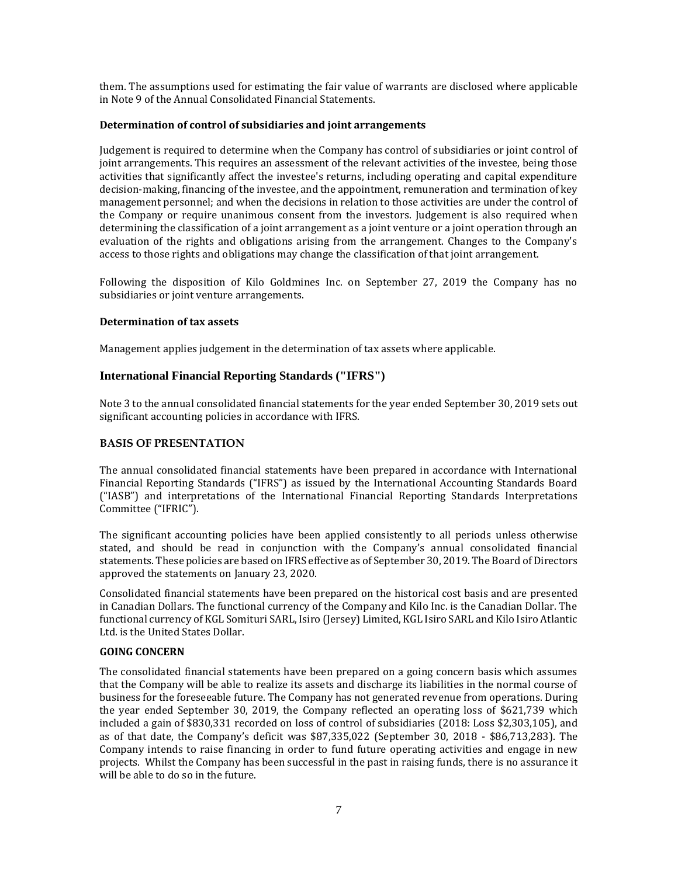them. The assumptions used for estimating the fair value of warrants are disclosed where applicable in Note 9 of the Annual Consolidated Financial Statements.

### **Determination of control of subsidiaries and joint arrangements**

Judgement is required to determine when the Company has control of subsidiaries or joint control of joint arrangements. This requires an assessment of the relevant activities of the investee, being those activities that significantly affect the investee's returns, including operating and capital expenditure decision-making, financing of the investee, and the appointment, remuneration and termination of key management personnel; and when the decisions in relation to those activities are under the control of the Company or require unanimous consent from the investors. Judgement is also required when determining the classification of a joint arrangement as a joint venture or a joint operation through an evaluation of the rights and obligations arising from the arrangement. Changes to the Company's access to those rights and obligations may change the classification of that joint arrangement.

Following the disposition of Kilo Goldmines Inc. on September 27, 2019 the Company has no subsidiaries or joint venture arrangements.

### **Determination of tax assets**

Management applies judgement in the determination of tax assets where applicable.

### **International Financial Reporting Standards ("IFRS")**

Note 3 to the annual consolidated financial statements for the year ended September 30, 2019 sets out significant accounting policies in accordance with IFRS.

### **BASIS OF PRESENTATION**

The annual consolidated financial statements have been prepared in accordance with International Financial Reporting Standards ("IFRS") as issued by the International Accounting Standards Board ("IASB") and interpretations of the International Financial Reporting Standards Interpretations Committee ("IFRIC").

The significant accounting policies have been applied consistently to all periods unless otherwise stated, and should be read in conjunction with the Company's annual consolidated financial statements. These policies are based on IFRS effective as of September 30, 2019. The Board of Directors approved the statements on January 23, 2020.

Consolidated financial statements have been prepared on the historical cost basis and are presented in Canadian Dollars. The functional currency of the Company and Kilo Inc. is the Canadian Dollar. The functional currency of KGL Somituri SARL, Isiro (Jersey) Limited, KGL Isiro SARL and Kilo Isiro Atlantic Ltd. is the United States Dollar.

#### **GOING CONCERN**

The consolidated financial statements have been prepared on a going concern basis which assumes that the Company will be able to realize its assets and discharge its liabilities in the normal course of business for the foreseeable future. The Company has not generated revenue from operations. During the year ended September 30, 2019, the Company reflected an operating loss of \$621,739 which included a gain of \$830,331 recorded on loss of control of subsidiaries (2018: Loss \$2,303,105), and as of that date, the Company's deficit was \$87,335,022 (September 30, 2018 - \$86,713,283). The Company intends to raise financing in order to fund future operating activities and engage in new projects. Whilst the Company has been successful in the past in raising funds, there is no assurance it will be able to do so in the future.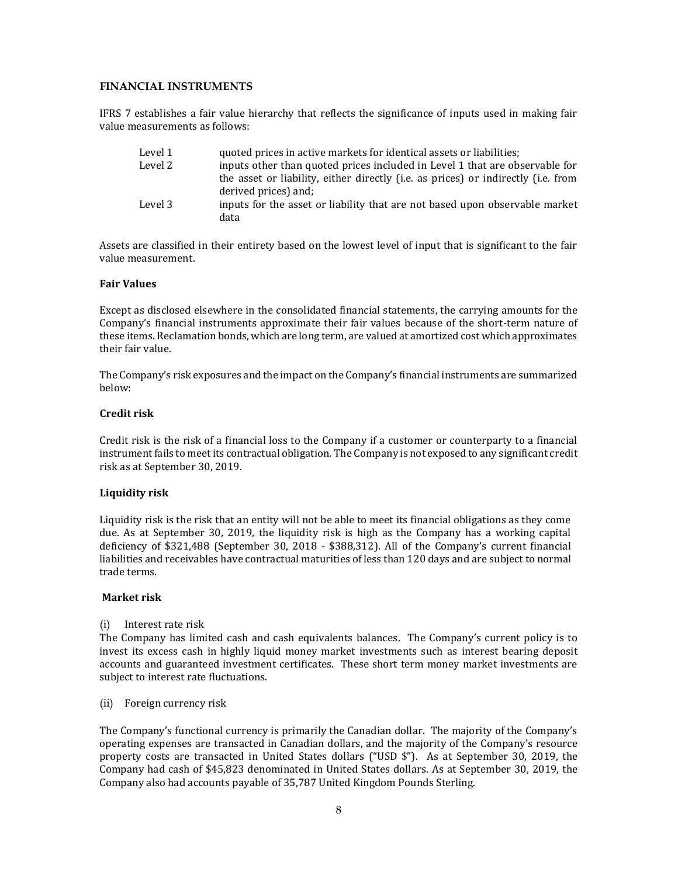### **FINANCIAL INSTRUMENTS**

IFRS 7 establishes a fair value hierarchy that reflects the significance of inputs used in making fair value measurements as follows:

| Level 1 | quoted prices in active markets for identical assets or liabilities;                                      |
|---------|-----------------------------------------------------------------------------------------------------------|
| Level 2 | inputs other than quoted prices included in Level 1 that are observable for                               |
|         | the asset or liability, either directly (i.e. as prices) or indirectly (i.e. from<br>derived prices) and; |
| Level 3 | inputs for the asset or liability that are not based upon observable market<br>data                       |

Assets are classified in their entirety based on the lowest level of input that is significant to the fair value measurement.

#### **Fair Values**

Except as disclosed elsewhere in the consolidated financial statements, the carrying amounts for the Company's financial instruments approximate their fair values because of the short-term nature of these items. Reclamation bonds, which are long term, are valued at amortized cost which approximates their fair value.

The Company's risk exposures and the impact on the Company's financial instruments are summarized below:

### **Credit risk**

Credit risk is the risk of a financial loss to the Company if a customer or counterparty to a financial instrument fails to meet its contractual obligation. The Company is not exposed to any significant credit risk as at September 30, 2019.

#### **Liquidity risk**

Liquidity risk is the risk that an entity will not be able to meet its financial obligations as they come due. As at September 30, 2019, the liquidity risk is high as the Company has a working capital deficiency of \$321,488 (September 30, 2018 - \$388,312). All of the Company's current financial liabilities and receivables have contractual maturities of less than 120 days and are subject to normal trade terms.

#### **Market risk**

(i) Interest rate risk

The Company has limited cash and cash equivalents balances. The Company's current policy is to invest its excess cash in highly liquid money market investments such as interest bearing deposit accounts and guaranteed investment certificates. These short term money market investments are subject to interest rate fluctuations.

(ii) Foreign currency risk

The Company's functional currency is primarily the Canadian dollar. The majority of the Company's operating expenses are transacted in Canadian dollars, and the majority of the Company's resource property costs are transacted in United States dollars ("USD \$"). As at September 30, 2019, the Company had cash of \$45,823 denominated in United States dollars. As at September 30, 2019, the Company also had accounts payable of 35,787 United Kingdom Pounds Sterling.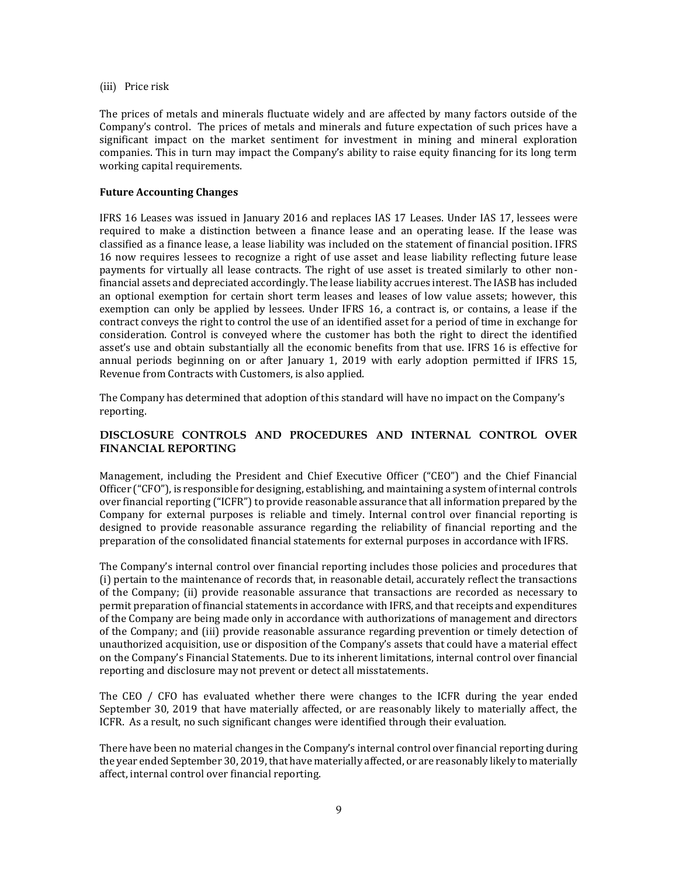(iii) Price risk

The prices of metals and minerals fluctuate widely and are affected by many factors outside of the Company's control. The prices of metals and minerals and future expectation of such prices have a significant impact on the market sentiment for investment in mining and mineral exploration companies. This in turn may impact the Company's ability to raise equity financing for its long term working capital requirements.

#### **Future Accounting Changes**

IFRS 16 Leases was issued in January 2016 and replaces IAS 17 Leases. Under IAS 17, lessees were required to make a distinction between a finance lease and an operating lease. If the lease was classified as a finance lease, a lease liability was included on the statement of financial position. IFRS 16 now requires lessees to recognize a right of use asset and lease liability reflecting future lease payments for virtually all lease contracts. The right of use asset is treated similarly to other nonfinancial assets and depreciated accordingly. The lease liability accrues interest. The IASB has included an optional exemption for certain short term leases and leases of low value assets; however, this exemption can only be applied by lessees. Under IFRS 16, a contract is, or contains, a lease if the contract conveys the right to control the use of an identified asset for a period of time in exchange for consideration. Control is conveyed where the customer has both the right to direct the identified asset's use and obtain substantially all the economic benefits from that use. IFRS 16 is effective for annual periods beginning on or after January 1, 2019 with early adoption permitted if IFRS 15, Revenue from Contracts with Customers, is also applied.

The Company has determined that adoption of this standard will have no impact on the Company's reporting.

### **DISCLOSURE CONTROLS AND PROCEDURES AND INTERNAL CONTROL OVER FINANCIAL REPORTING**

Management, including the President and Chief Executive Officer ("CEO") and the Chief Financial Officer ("CFO"), is responsible for designing, establishing, and maintaining a system of internal controls over financial reporting ("ICFR") to provide reasonable assurance that all information prepared by the Company for external purposes is reliable and timely. Internal control over financial reporting is designed to provide reasonable assurance regarding the reliability of financial reporting and the preparation of the consolidated financial statements for external purposes in accordance with IFRS.

The Company's internal control over financial reporting includes those policies and procedures that (i) pertain to the maintenance of records that, in reasonable detail, accurately reflect the transactions of the Company; (ii) provide reasonable assurance that transactions are recorded as necessary to permit preparation of financial statements in accordance with IFRS, and that receipts and expenditures of the Company are being made only in accordance with authorizations of management and directors of the Company; and (iii) provide reasonable assurance regarding prevention or timely detection of unauthorized acquisition, use or disposition of the Company's assets that could have a material effect on the Company's Financial Statements. Due to its inherent limitations, internal control over financial reporting and disclosure may not prevent or detect all misstatements.

The CEO / CFO has evaluated whether there were changes to the ICFR during the year ended September 30, 2019 that have materially affected, or are reasonably likely to materially affect, the ICFR. As a result, no such significant changes were identified through their evaluation.

There have been no material changes in the Company's internal control over financial reporting during the year ended September 30, 2019, that have materially affected, or are reasonably likely to materially affect, internal control over financial reporting.